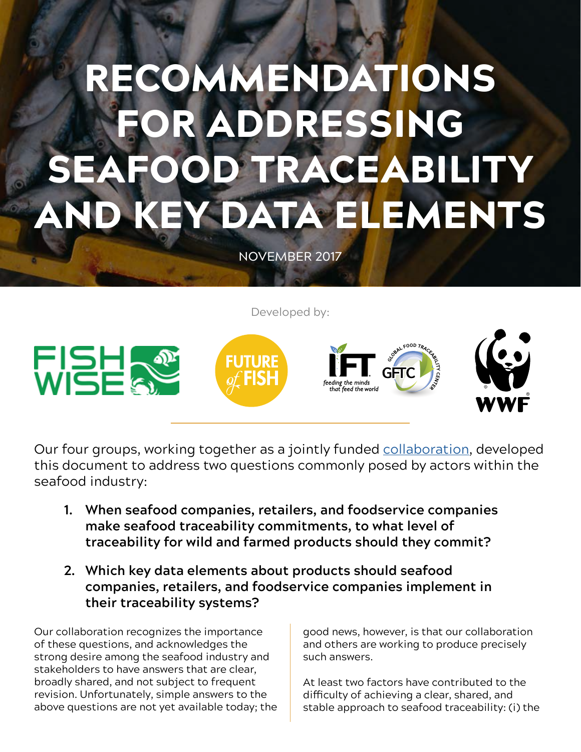# RECOMMENDATIONS OR ADDRESSING FOOD TRACEABILITY Y DATA ELEMENTS

NOVEMBER 2017





Our four groups, working together as a jointly funded [collaboration,](http://futureoffish.org/content/collaborating-seafood-traceability) developed this document to address two questions commonly posed by actors within the seafood industry:

- **1. When seafood companies, retailers, and foodservice companies make seafood traceability commitments, to what level of traceability for wild and farmed products should they commit?**
- **2. Which key data elements about products should seafood companies, retailers, and foodservice companies implement in their traceability systems?**

Our collaboration recognizes the importance of these questions, and acknowledges the strong desire among the seafood industry and stakeholders to have answers that are clear, broadly shared, and not subject to frequent revision. Unfortunately, simple answers to the above questions are not yet available today; the good news, however, is that our collaboration and others are working to produce precisely such answers.

At least two factors have contributed to the difficulty of achieving a clear, shared, and stable approach to seafood traceability: (i) the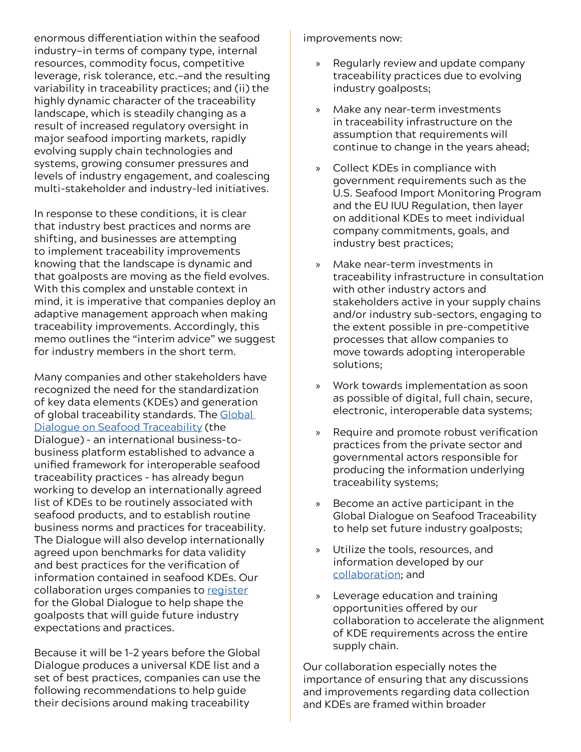enormous differentiation within the seafood industry—in terms of company type, internal resources, commodity focus, competitive leverage, risk tolerance, etc.—and the resulting variability in traceability practices; and (ii) the highly dynamic character of the traceability landscape, which is steadily changing as a result of increased regulatory oversight in major seafood importing markets, rapidly evolving supply chain technologies and systems, growing consumer pressures and levels of industry engagement, and coalescing multi-stakeholder and industry-led initiatives.

In response to these conditions, it is clear that industry best practices and norms are shifting, and businesses are attempting to implement traceability improvements knowing that the landscape is dynamic and that goalposts are moving as the field evolves. With this complex and unstable context in mind, it is imperative that companies deploy an adaptive management approach when making traceability improvements. Accordingly, this memo outlines the "interim advice" we suggest for industry members in the short term.

Many companies and other stakeholders have recognized the need for the standardization of key data elements (KDEs) and generation of global traceability standards. The Global [Dialogue on Seafood Traceability](http://www.traceability-dialogue.org/) (the Dialogue) – an international business-tobusiness platform established to advance a unified framework for interoperable seafood traceability practices – has already begun working to develop an internationally agreed list of KDEs to be routinely associated with seafood products, and to establish routine business norms and practices for traceability. The Dialogue will also develop internationally agreed upon benchmarks for data validity and best practices for the verification of information contained in seafood KDEs. Our collaboration urges companies to [register](http://traceability-dialogue.org/take_action-2/register-2/) for the Global Dialogue to help shape the goalposts that will guide future industry expectations and practices.

Because it will be 1-2 years before the Global Dialogue produces a universal KDE list and a set of best practices, companies can use the following recommendations to help guide their decisions around making traceability

improvements now:

- » Regularly review and update company traceability practices due to evolving industry goalposts;
- » Make any near-term investments in traceability infrastructure on the assumption that requirements will continue to change in the years ahead;
- » Collect KDEs in compliance with government requirements such as the U.S. Seafood Import Monitoring Program and the EU IUU Regulation, then layer on additional KDEs to meet individual company commitments, goals, and industry best practices;
- » Make near-term investments in traceability infrastructure in consultation with other industry actors and stakeholders active in your supply chains and/or industry sub-sectors, engaging to the extent possible in pre-competitive processes that allow companies to move towards adopting interoperable solutions;
- » Work towards implementation as soon as possible of digital, full chain, secure, electronic, interoperable data systems;
- » Require and promote robust verification practices from the private sector and governmental actors responsible for producing the information underlying traceability systems;
- » Become an active participant in the Global Dialogue on Seafood Traceability to help set future industry goalposts;
- » Utilize the tools, resources, and information developed by our [collaboration](http://futureoffish.org/content/collaborating-seafood-traceability); and
- » Leverage education and training opportunities offered by our collaboration to accelerate the alignment of KDE requirements across the entire supply chain.

Our collaboration especially notes the importance of ensuring that any discussions and improvements regarding data collection and KDEs are framed within broader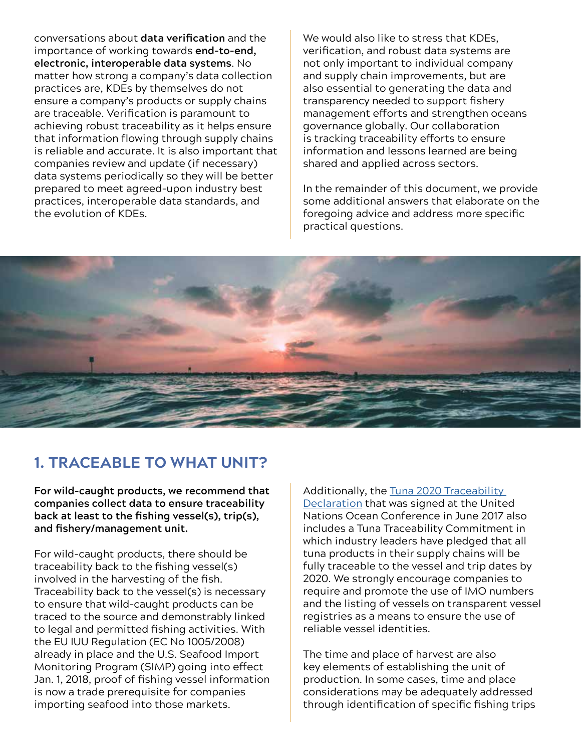conversations about **data verification** and the importance of working towards **end-to-end, electronic, interoperable data systems**. No matter how strong a company's data collection practices are, KDEs by themselves do not ensure a company's products or supply chains are traceable. Verification is paramount to achieving robust traceability as it helps ensure that information flowing through supply chains is reliable and accurate. It is also important that companies review and update (if necessary) data systems periodically so they will be better prepared to meet agreed-upon industry best practices, interoperable data standards, and the evolution of KDEs.

We would also like to stress that KDEs, verification, and robust data systems are not only important to individual company and supply chain improvements, but are also essential to generating the data and transparency needed to support fishery management efforts and strengthen oceans governance globally. Our collaboration is tracking traceability efforts to ensure information and lessons learned are being shared and applied across sectors.

In the remainder of this document, we provide some additional answers that elaborate on the foregoing advice and address more specific practical questions.



### **1. TRACEABLE TO WHAT UNIT?**

**For wild-caught products, we recommend that companies collect data to ensure traceability back at least to the fishing vessel(s), trip(s), and fishery/management unit.**

For wild-caught products, there should be traceability back to the fishing vessel(s) involved in the harvesting of the fish. Traceability back to the vessel(s) is necessary to ensure that wild-caught products can be traced to the source and demonstrably linked to legal and permitted fishing activities. With the EU IUU Regulation (EC No 1005/2008) already in place and the U.S. Seafood Import Monitoring Program (SIMP) going into effect Jan. 1, 2018, proof of fishing vessel information is now a trade prerequisite for companies importing seafood into those markets.

Additionally, the Tuna 2020 Traceability [Declaration](https://www.weforum.org/agenda/2017/06/tuna-2020-traceability-declaration-stopping-illegal-tuna-from-coming-to-market/) that was signed at the United Nations Ocean Conference in June 2017 also includes a Tuna Traceability Commitment in which industry leaders have pledged that all tuna products in their supply chains will be fully traceable to the vessel and trip dates by 2020. We strongly encourage companies to require and promote the use of IMO numbers and the listing of vessels on transparent vessel registries as a means to ensure the use of reliable vessel identities.

The time and place of harvest are also key elements of establishing the unit of production. In some cases, time and place considerations may be adequately addressed through identification of specific fishing trips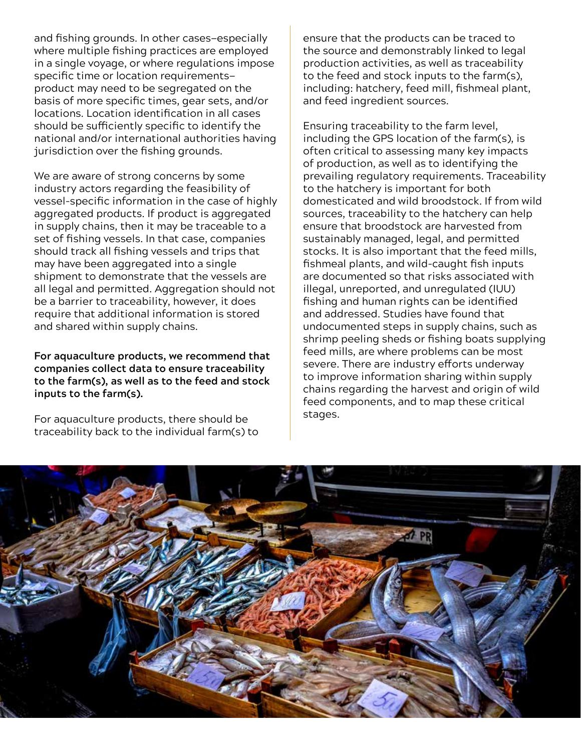and fishing grounds. In other cases—especially where multiple fishing practices are employed in a single voyage, or where regulations impose specific time or location requirements product may need to be segregated on the basis of more specific times, gear sets, and/or locations. Location identification in all cases should be sufficiently specific to identify the national and/or international authorities having jurisdiction over the fishing grounds.

We are aware of strong concerns by some industry actors regarding the feasibility of vessel-specific information in the case of highly aggregated products. If product is aggregated in supply chains, then it may be traceable to a set of fishing vessels. In that case, companies should track all fishing vessels and trips that may have been aggregated into a single shipment to demonstrate that the vessels are all legal and permitted. Aggregation should not be a barrier to traceability, however, it does require that additional information is stored and shared within supply chains.

**For aquaculture products, we recommend that companies collect data to ensure traceability to the farm(s), as well as to the feed and stock inputs to the farm(s).**

For aquaculture products, there should be traceability back to the individual farm(s) to ensure that the products can be traced to the source and demonstrably linked to legal production activities, as well as traceability to the feed and stock inputs to the farm(s), including: hatchery, feed mill, fishmeal plant, and feed ingredient sources.

Ensuring traceability to the farm level, including the GPS location of the farm(s), is often critical to assessing many key impacts of production, as well as to identifying the prevailing regulatory requirements. Traceability to the hatchery is important for both domesticated and wild broodstock. If from wild sources, traceability to the hatchery can help ensure that broodstock are harvested from sustainably managed, legal, and permitted stocks. It is also important that the feed mills, fishmeal plants, and wild-caught fish inputs are documented so that risks associated with illegal, unreported, and unregulated (IUU) fishing and human rights can be identified and addressed. Studies have found that undocumented steps in supply chains, such as shrimp peeling sheds or fishing boats supplying feed mills, are where problems can be most severe. There are industry efforts underway to improve information sharing within supply chains regarding the harvest and origin of wild feed components, and to map these critical stages.

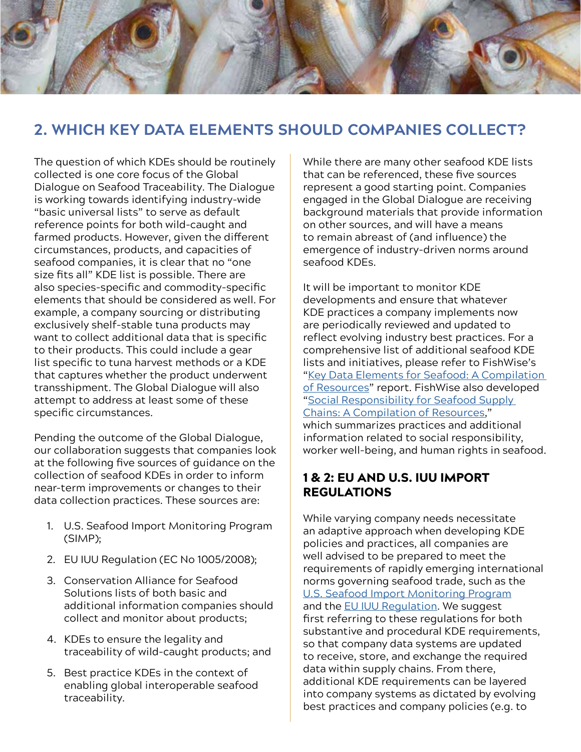

## **2. WHICH KEY DATA ELEMENTS SHOULD COMPANIES COLLECT?**

The question of which KDEs should be routinely collected is one core focus of the Global Dialogue on Seafood Traceability. The Dialogue is working towards identifying industry-wide "basic universal lists" to serve as default reference points for both wild-caught and farmed products. However, given the different circumstances, products, and capacities of seafood companies, it is clear that no "one size fits all" KDE list is possible. There are also species-specific and commodity-specific elements that should be considered as well. For example, a company sourcing or distributing exclusively shelf-stable tuna products may want to collect additional data that is specific to their products. This could include a gear list specific to tuna harvest methods or a KDE that captures whether the product underwent transshipment. The Global Dialogue will also attempt to address at least some of these specific circumstances.

Pending the outcome of the Global Dialogue, our collaboration suggests that companies look at the following five sources of guidance on the collection of seafood KDEs in order to inform near-term improvements or changes to their data collection practices. These sources are:

- 1. U.S. Seafood Import Monitoring Program (SIMP);
- 2. EU IUU Regulation (EC No 1005/2008);
- 3. Conservation Alliance for Seafood Solutions lists of both basic and additional information companies should collect and monitor about products;
- 4. KDEs to ensure the legality and traceability of wild-caught products; and
- 5. Best practice KDEs in the context of enabling global interoperable seafood traceability.

While there are many other seafood KDE lists that can be referenced, these five sources represent a good starting point. Companies engaged in the Global Dialogue are receiving background materials that provide information on other sources, and will have a means to remain abreast of (and influence) the emergence of industry-driven norms around seafood KDEs.

It will be important to monitor KDE developments and ensure that whatever KDE practices a company implements now are periodically reviewed and updated to reflect evolving industry best practices. For a comprehensive list of additional seafood KDE lists and initiatives, please refer to FishWise's "[Key Data Elements for Seafood: A Compilation](https://www.fishwise.org/wp-content/uploads/2016/03/2017.05.25_KDEs-for-Seafood-Compilation-of-Resources_Final_-1.pdf)  [of Resources](https://www.fishwise.org/wp-content/uploads/2016/03/2017.05.25_KDEs-for-Seafood-Compilation-of-Resources_Final_-1.pdf)" report. FishWise also developed "[Social Responsibility for Seafood Supply](https://www.fishwise.org/wp-content/uploads/2016/03/2017.05.30_Social-Responsibility-Information-for-Seafood-Supply-Chains_Final.pdf)  [Chains: A Compilation of Resources,](https://www.fishwise.org/wp-content/uploads/2016/03/2017.05.30_Social-Responsibility-Information-for-Seafood-Supply-Chains_Final.pdf)" which summarizes practices and additional information related to social responsibility, worker well-being, and human rights in seafood.

#### 1 & 2: EU AND U.S. IUU IMPORT REGULATIONS

While varying company needs necessitate an adaptive approach when developing KDE policies and practices, all companies are well advised to be prepared to meet the requirements of rapidly emerging international norms governing seafood trade, such as the [U.S. Seafood Import Monitoring Program](https://www.federalregister.gov/documents/2016/02/05/2016-02216/magnuson-stevens-fishery-conservation-and-management-act-seafood-import-monitoring-program) and the [EU IUU Regulation.](http://eur-lex.europa.eu/legal-content/EN/TXT/?uri=CELEX:02008R1005-20110309) We suggest first referring to these regulations for both substantive and procedural KDE requirements, so that company data systems are updated to receive, store, and exchange the required data within supply chains. From there, additional KDE requirements can be layered into company systems as dictated by evolving best practices and company policies (e.g. to